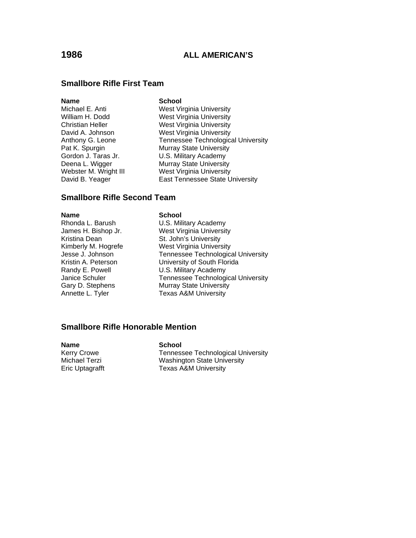# **Smallbore Rifle First Team**

**Name School**<br>
Michael E. Anti **School**<br>
West Vi

West Virginia University William H. Dodd West Virginia University Christian Heller West Virginia University David A. Johnson West Virginia University Anthony G. Leone Tennessee Technological University Pat K. Spurgin Murray State University Gordon J. Taras Jr. U.S. Military Academy Deena L. Wigger Murray State University Webster M. Wright III West Virginia University David B. Yeager **East Tennessee State University** 

## **Smallbore Rifle Second Team**

Kristina Dean St. John's University

### **Name School**

Rhonda L. Barush **U.S. Military Academy** James H. Bishop Jr. West Virginia University Kimberly M. Hogrefe<br>
Jesse J. Johnson<br>
Tennessee Technologica Tennessee Technological University Kristin A. Peterson University of South Florida Randy E. Powell **U.S. Military Academy** Janice Schuler Tennessee Technological University Gary D. Stephens Murray State University Annette L. Tyler Texas A&M University

# **Smallbore Rifle Honorable Mention**

**Name**<br> **School**<br> **Kerry Crowe**<br> **School** Eric Uptagrafft Texas A&M University

Tennessee Technological University Michael Terzi Washington State University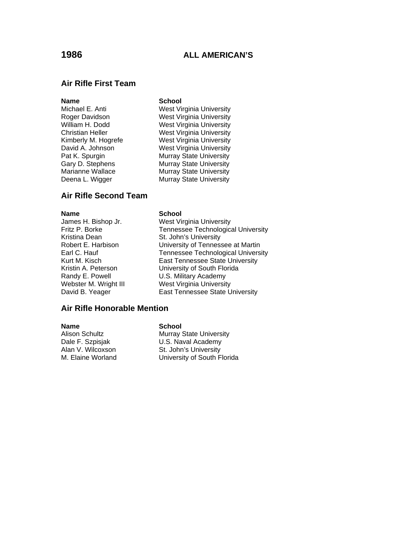# **Air Rifle First Team**

### **Name** School

Michael E. Anti West Virginia University Roger Davidson **Mest Virginia University**<br>
West Virginia University<br>
West Virginia University West Virginia University Christian Heller West Virginia University Kimberly M. Hogrefe West Virginia University David A. Johnson West Virginia University Pat K. Spurgin Murray State University Gary D. Stephens Murray State University Marianne Wallace Murray State University Deena L. Wigger Murray State University

# **Air Rifle Second Team**

Kristina Dean St. John's University

### **Name** School

James H. Bishop Jr. West Virginia University Tennessee Technological University Robert E. Harbison University of Tennessee at Martin Earl C. Hauf Tennessee Technological University Kurt M. Kisch **East Tennessee State University** Kristin A. Peterson<br>
Randy E. Powell 
U.S. Military Academy Randy E. Powell U.S. Military Academy West Virginia University David B. Yeager **East Tennessee State University** 

## **Air Rifle Honorable Mention**

### **Name** School

M. Elaine Worland University of South Florida

Alison Schultz Murray State University Dale F. Szpisjak **U.S. Naval Academy** Alan V. Wilcoxson St. John's University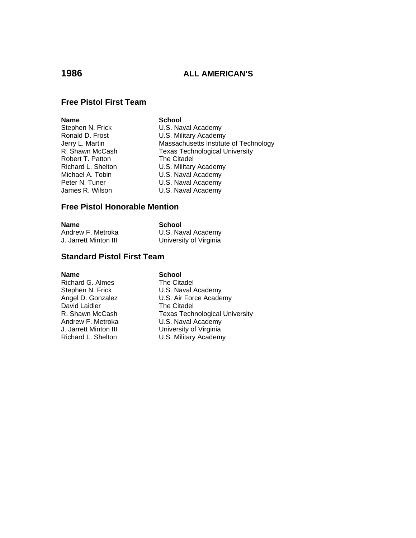# **Free Pistol First Team**

| Name               | <b>School</b>                         |
|--------------------|---------------------------------------|
| Stephen N. Frick   | U.S. Naval Academy                    |
| Ronald D. Frost    | U.S. Military Academy                 |
| Jerry L. Martin    | Massachusetts Institute of Technology |
| R. Shawn McCash    | <b>Texas Technological University</b> |
| Robert T. Patton   | The Citadel                           |
| Richard L. Shelton | U.S. Military Academy                 |
| Michael A. Tobin   | U.S. Naval Academy                    |
| Peter N. Tuner     | U.S. Naval Academy                    |
| James R. Wilson    | U.S. Naval Academy                    |
|                    |                                       |

# ry Academy I Academy I Academy I Academy

# **Free Pistol Honorable Mention**

# **Name** School

| Andrew F. Metroka     | U.S. Naval Academy     |
|-----------------------|------------------------|
| J. Jarrett Minton III | University of Virginia |

# **Standard Pistol First Team**

**Name**<br>
Richard G. Almes<br>
The Citadel Richard G. Almes David Laidler<br>R. Shawn McCash

Stephen N. Frick U.S. Naval Academy Angel D. Gonzalez **U.S. Air Force Academy**<br>
David Laidler **The Citadel** Texas Technological University Andrew F. Metroka<br>
J. Jarrett Minton III University of Virginia J. Jarrett Minton III **University of Virginia**<br>Richard L. Shelton **U.S. Military Academy** U.S. Military Academy